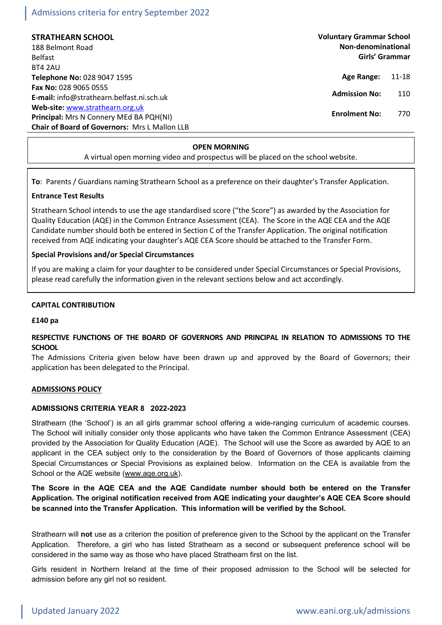# **STRATHEARN SCHOOL**

188 Belmont Road Belfast BT4 2AU **Telephone No:** 028 9047 1595 **Fax No:** 028 9065 0555 **E-mail:** info@strathearn.belfast.ni.sch.uk **Web-site:** [www.strathearn.org.uk](http://www.strathearn.org.uk/) **Principal:** Mrs N Connery MEd BA PQH(NI) **Chair of Board of Governors:** Mrs L Mallon LLB **Voluntary Grammar School Non-denominational Girls' Grammar**

- **Age Range:** 11-18
- **Admission No:** 110
- **Enrolment No:** 770

## **OPEN MORNING**

A virtual open morning video and prospectus will be placed on the school website.

**To**: Parents / Guardians naming Strathearn School as a preference on their daughter's Transfer Application.

# **Entrance Test Results**

Strathearn School intends to use the age standardised score ("the Score") as awarded by the Association for Quality Education (AQE) in the Common Entrance Assessment (CEA). The Score in the AQE CEA and the AQE Candidate number should both be entered in Section C of the Transfer Application. The original notification received from AQE indicating your daughter's AQE CEA Score should be attached to the Transfer Form.

# **Special Provisions and/or Special Circumstances**

If you are making a claim for your daughter to be considered under Special Circumstances or Special Provisions, please read carefully the information given in the relevant sections below and act accordingly.

# **CAPITAL CONTRIBUTION**

### **£140 pa**

# **RESPECTIVE FUNCTIONS OF THE BOARD OF GOVERNORS AND PRINCIPAL IN RELATION TO ADMISSIONS TO THE SCHOOL**

The Admissions Criteria given below have been drawn up and approved by the Board of Governors; their application has been delegated to the Principal.

### **ADMISSIONS POLICY**

### **ADMISSIONS CRITERIA YEAR 8 2022-2023**

Strathearn (the 'School') is an all girls grammar school offering a wide-ranging curriculum of academic courses. The School will initially consider only those applicants who have taken the Common Entrance Assessment (CEA) provided by the Association for Quality Education (AQE). The School will use the Score as awarded by AQE to an applicant in the CEA subject only to the consideration by the Board of Governors of those applicants claiming Special Circumstances or Special Provisions as explained below. Information on the CEA is available from the School or the AQE website [\(www.aqe.org.uk\)](http://www.aqe.org.uk/).

**The Score in the AQE CEA and the AQE Candidate number should both be entered on the Transfer Application***.* **The original notification received from AQE indicating your daughter's AQE CEA Score should be scanned into the Transfer Application.****This information will be verified by the School.**

Strathearn will **not** use as a criterion the position of preference given to the School by the applicant on the Transfer Application. Therefore, a girl who has listed Strathearn as a second or subsequent preference school will be considered in the same way as those who have placed Strathearn first on the list.

Girls resident in Northern Ireland at the time of their proposed admission to the School will be selected for admission before any girl not so resident.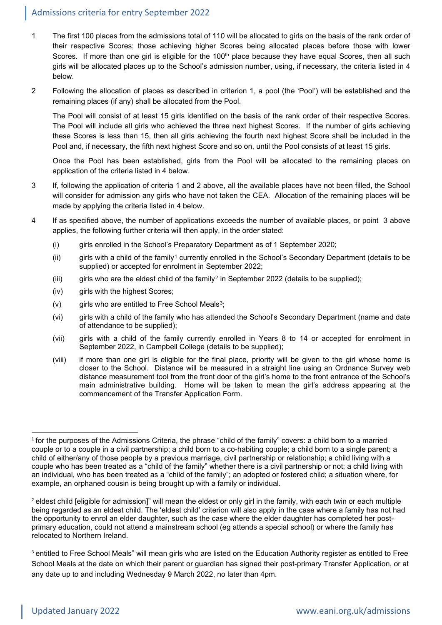- 1 The first 100 places from the admissions total of 110 will be allocated to girls on the basis of the rank order of their respective Scores; those achieving higher Scores being allocated places before those with lower Scores. If more than one girl is eligible for the 100<sup>th</sup> place because they have equal Scores, then all such girls will be allocated places up to the School's admission number, using, if necessary, the criteria listed in 4 below.
- 2 Following the allocation of places as described in criterion 1, a pool (the 'Pool') will be established and the remaining places (if any) shall be allocated from the Pool.

The Pool will consist of at least 15 girls identified on the basis of the rank order of their respective Scores. The Pool will include all girls who achieved the three next highest Scores. If the number of girls achieving these Scores is less than 15, then all girls achieving the fourth next highest Score shall be included in the Pool and, if necessary, the fifth next highest Score and so on, until the Pool consists of at least 15 girls.

Once the Pool has been established, girls from the Pool will be allocated to the remaining places on application of the criteria listed in 4 below.

- 3 If, following the application of criteria 1 and 2 above, all the available places have not been filled, the School will consider for admission any girls who have not taken the CEA. Allocation of the remaining places will be made by applying the criteria listed in 4 below.
- 4 If as specified above, the number of applications exceeds the number of available places, or point 3 above applies, the following further criteria will then apply, in the order stated:
	- (i) girls enrolled in the School's Preparatory Department as of 1 September 2020;
	- (ii) girls with a child of the family<sup>[1](#page-1-0)</sup> currently enrolled in the School's Secondary Department (details to be supplied) or accepted for enrolment in September 2022;
	- (iii) girls who are the eldest child of the family<sup>[2](#page-1-1)</sup> in September 2022 (details to be supplied);
	- (iv) girls with the highest Scores;
	- $(v)$  girls who are entitled to Free School Meals<sup>[3](#page-1-2)</sup>;
	- (vi) girls with a child of the family who has attended the School's Secondary Department (name and date of attendance to be supplied);
	- (vii) girls with a child of the family currently enrolled in Years 8 to 14 or accepted for enrolment in September 2022, in Campbell College (details to be supplied);
	- (viii) if more than one girl is eligible for the final place, priority will be given to the girl whose home is closer to the School. Distance will be measured in a straight line using an Ordnance Survey web distance measurement tool from the front door of the girl's home to the front entrance of the School's main administrative building. Home will be taken to mean the girl's address appearing at the commencement of the Transfer Application Form.

<span id="page-1-0"></span> $1$  for the purposes of the Admissions Criteria, the phrase "child of the family" covers: a child born to a married couple or to a couple in a civil partnership; a child born to a co-habiting couple; a child born to a single parent; a child of either/any of those people by a previous marriage, civil partnership or relationship; a child living with a couple who has been treated as a "child of the family" whether there is a civil partnership or not; a child living with an individual, who has been treated as a "child of the family"; an adopted or fostered child; a situation where, for example, an orphaned cousin is being brought up with a family or individual.

<span id="page-1-1"></span><sup>&</sup>lt;sup>2</sup> eldest child [eligible for admission]" will mean the eldest or only girl in the family, with each twin or each multiple being regarded as an eldest child. The 'eldest child' criterion will also apply in the case where a family has not had the opportunity to enrol an elder daughter, such as the case where the elder daughter has completed her postprimary education, could not attend a mainstream school (eg attends a special school) or where the family has relocated to Northern Ireland.

<span id="page-1-2"></span><sup>&</sup>lt;sup>3</sup> entitled to Free School Meals" will mean girls who are listed on the Education Authority register as entitled to Free School Meals at the date on which their parent or guardian has signed their post-primary Transfer Application, or at any date up to and including Wednesday 9 March 2022, no later than 4pm.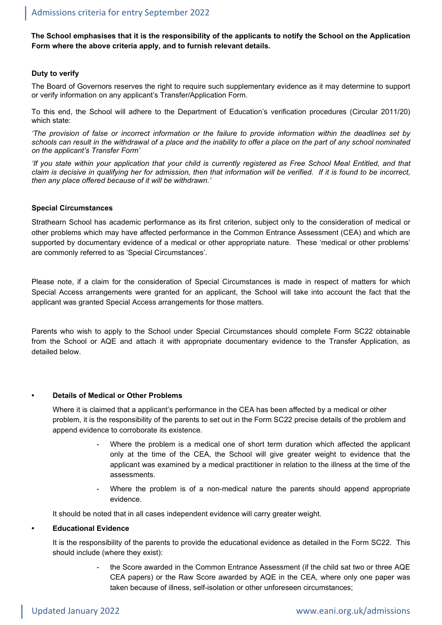**The School emphasises that it is the responsibility of the applicants to notify the School on the Application Form where the above criteria apply, and to furnish relevant details.**

# **Duty to verify**

The Board of Governors reserves the right to require such supplementary evidence as it may determine to support or verify information on any applicant's Transfer/Application Form.

To this end, the School will adhere to the Department of Education's verification procedures (Circular 2011/20) which state:

*'The provision of false or incorrect information or the failure to provide information within the deadlines set by schools can result in the withdrawal of a place and the inability to offer a place on the part of any school nominated on the applicant's Transfer Form'*

*'If you state within your application that your child is currently registered as Free School Meal Entitled, and that claim is decisive in qualifying her for admission, then that information will be verified. If it is found to be incorrect, then any place offered because of it will be withdrawn.'*

### **Special Circumstances**

Strathearn School has academic performance as its first criterion, subject only to the consideration of medical or other problems which may have affected performance in the Common Entrance Assessment (CEA) and which are supported by documentary evidence of a medical or other appropriate nature. These 'medical or other problems' are commonly referred to as 'Special Circumstances'.

Please note, if a claim for the consideration of Special Circumstances is made in respect of matters for which Special Access arrangements were granted for an applicant, the School will take into account the fact that the applicant was granted Special Access arrangements for those matters.

Parents who wish to apply to the School under Special Circumstances should complete Form SC22 obtainable from the School or AQE and attach it with appropriate documentary evidence to the Transfer Application, as detailed below.

### **• Details of Medical or Other Problems**

Where it is claimed that a applicant's performance in the CEA has been affected by a medical or other problem, it is the responsibility of the parents to set out in the Form SC22 precise details of the problem and append evidence to corroborate its existence.

- Where the problem is a medical one of short term duration which affected the applicant only at the time of the CEA, the School will give greater weight to evidence that the applicant was examined by a medical practitioner in relation to the illness at the time of the assessments.
- Where the problem is of a non-medical nature the parents should append appropriate evidence.

It should be noted that in all cases independent evidence will carry greater weight.

#### **• Educational Evidence**

It is the responsibility of the parents to provide the educational evidence as detailed in the Form SC22. This should include (where they exist):

> the Score awarded in the Common Entrance Assessment (if the child sat two or three AQE CEA papers) or the Raw Score awarded by AQE in the CEA, where only one paper was taken because of illness, self-isolation or other unforeseen circumstances;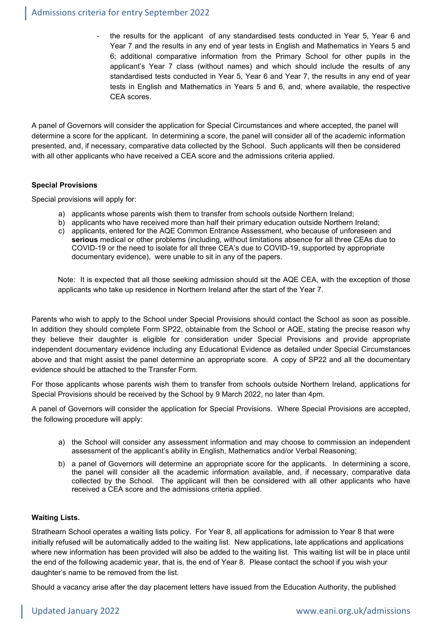the results for the applicant of any standardised tests conducted in Year 5, Year 6 and Year 7 and the results in any end of year tests in English and Mathematics in Years 5 and 6; additional comparative information from the Primary School for other pupils in the applicant's Year 7 class (without names) and which should include the results of any standardised tests conducted in Year 5, Year 6 and Year 7, the results in any end of year tests in English and Mathematics in Years 5 and 6, and, where available, the respective CEA scores.

A panel of Governors will consider the application for Special Circumstances and where accepted, the panel will determine a score for the applicant. In determining a score, the panel will consider all of the academic information presented, and, if necessary, comparative data collected by the School. Such applicants will then be considered with all other applicants who have received a CEA score and the admissions criteria applied.

# **Special Provisions**

Special provisions will apply for:

- a) applicants whose parents wish them to transfer from schools outside Northern Ireland;
- b) applicants who have received more than half their primary education outside Northern Ireland;
- c) applicants, entered for the AQE Common Entrance Assessment, who because of unforeseen and **serious** medical or other problems (including, without limitations absence for all three CEAs due to COVID-19 or the need to isolate for all three CEA's due to COVID-19, supported by appropriate documentary evidence), were unable to sit in any of the papers.

Note: It is expected that all those seeking admission should sit the AQE CEA, with the exception of those applicants who take up residence in Northern Ireland after the start of the Year 7.

Parents who wish to apply to the School under Special Provisions should contact the School as soon as possible. In addition they should complete Form SP22, obtainable from the School or AQE, stating the precise reason why they believe their daughter is eligible for consideration under Special Provisions and provide appropriate independent documentary evidence including any Educational Evidence as detailed under Special Circumstances above and that might assist the panel determine an appropriate score. A copy of SP22 and all the documentary evidence should be attached to the Transfer Form.

For those applicants whose parents wish them to transfer from schools outside Northern Ireland, applications for Special Provisions should be received by the School by 9 March 2022, no later than 4pm.

A panel of Governors will consider the application for Special Provisions. Where Special Provisions are accepted, the following procedure will apply:

- a) the School will consider any assessment information and may choose to commission an independent assessment of the applicant's ability in English, Mathematics and/or Verbal Reasoning;
- b) a panel of Governors will determine an appropriate score for the applicants. In determining a score, the panel will consider all the academic information available, and, if necessary, comparative data collected by the School. The applicant will then be considered with all other applicants who have received a CEA score and the admissions criteria applied.

# **Waiting Lists.**

Strathearn School operates a waiting lists policy. For Year 8, all applications for admission to Year 8 that were initially refused will be automatically added to the waiting list. New applications, late applications and applications where new information has been provided will also be added to the waiting list. This waiting list will be in place until the end of the following academic year, that is, the end of Year 8. Please contact the school if you wish your daughter's name to be removed from the list.

Should a vacancy arise after the day placement letters have issued from the Education Authority, the published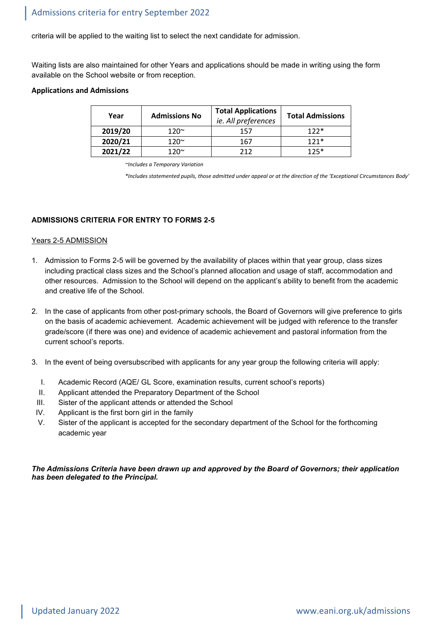criteria will be applied to the waiting list to select the next candidate for admission.

Waiting lists are also maintained for other Years and applications should be made in writing using the form available on the School website or from reception.

### **Applications and Admissions**

| Year    | <b>Admissions No</b> | <b>Total Applications</b><br>ie. All preferences | <b>Total Admissions</b> |
|---------|----------------------|--------------------------------------------------|-------------------------|
| 2019/20 | 120 $\sim$           | 157                                              | $122*$                  |
| 2020/21 | 120 $\sim$           | 167                                              | $121*$                  |
| 2021/22 | 1 2∩∼                | つ1つ                                              | $125*$                  |

*~Includes a Temporary Variation*

*\*Includes statemented pupils, those admitted under appeal or at the direction of the 'Exceptional Circumstances Body'*

# **ADMISSIONS CRITERIA FOR ENTRY TO FORMS 2-5**

# Years 2-5 ADMISSION

- 1. Admission to Forms 2-5 will be governed by the availability of places within that year group, class sizes including practical class sizes and the School's planned allocation and usage of staff, accommodation and other resources. Admission to the School will depend on the applicant's ability to benefit from the academic and creative life of the School.
- 2. In the case of applicants from other post-primary schools, the Board of Governors will give preference to girls on the basis of academic achievement. Academic achievement will be judged with reference to the transfer grade/score (if there was one) and evidence of academic achievement and pastoral information from the current school's reports.
- 3. In the event of being oversubscribed with applicants for any year group the following criteria will apply:
	- I. Academic Record (AQE/ GL Score, examination results, current school's reports)
	- II. Applicant attended the Preparatory Department of the School
	- III. Sister of the applicant attends or attended the School
	- IV. Applicant is the first born girl in the family
	- V. Sister of the applicant is accepted for the secondary department of the School for the forthcoming academic year

*The Admissions Criteria have been drawn up and approved by the Board of Governors; their application has been delegated to the Principal.*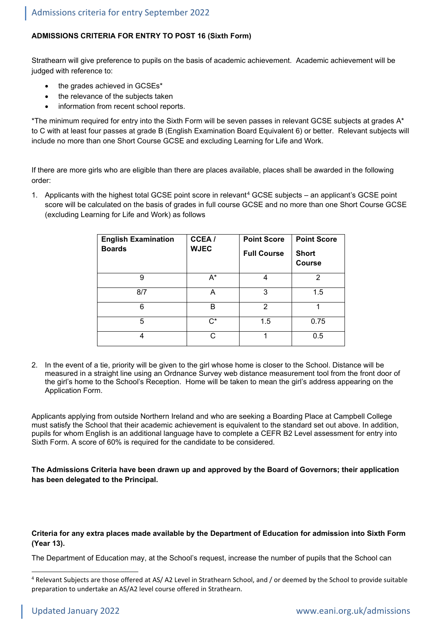# **ADMISSIONS CRITERIA FOR ENTRY TO POST 16 (Sixth Form)**

Strathearn will give preference to pupils on the basis of academic achievement. Academic achievement will be judged with reference to:

- the grades achieved in GCSEs\*
- the relevance of the subjects taken
- information from recent school reports.

\*The minimum required for entry into the Sixth Form will be seven passes in relevant GCSE subjects at grades A\* to C with at least four passes at grade B (English Examination Board Equivalent 6) or better. Relevant subjects will include no more than one Short Course GCSE and excluding Learning for Life and Work.

If there are more girls who are eligible than there are places available, places shall be awarded in the following order:

1. Applicants with the highest total GCSE point score in relevant<sup>[4](#page-5-0)</sup> GCSE subjects – an applicant's GCSE point score will be calculated on the basis of grades in full course GCSE and no more than one Short Course GCSE (excluding Learning for Life and Work) as follows

| <b>English Examination</b><br><b>Boards</b> | CCEA/<br><b>WJEC</b> | <b>Point Score</b><br><b>Full Course</b> | <b>Point Score</b><br><b>Short</b><br><b>Course</b> |
|---------------------------------------------|----------------------|------------------------------------------|-----------------------------------------------------|
| 9                                           | $A^*$                | 4                                        | 2                                                   |
| 8/7                                         | А                    | 3                                        | 1.5                                                 |
| 6                                           | B                    | 2                                        |                                                     |
| 5                                           | $C^*$                | 1.5                                      | 0.75                                                |
| 4                                           | C                    |                                          | 0.5                                                 |

2. In the event of a tie, priority will be given to the girl whose home is closer to the School. Distance will be measured in a straight line using an Ordnance Survey web distance measurement tool from the front door of the girl's home to the School's Reception. Home will be taken to mean the girl's address appearing on the Application Form.

Applicants applying from outside Northern Ireland and who are seeking a Boarding Place at Campbell College must satisfy the School that their academic achievement is equivalent to the standard set out above. In addition, pupils for whom English is an additional language have to complete a CEFR B2 Level assessment for entry into Sixth Form. A score of 60% is required for the candidate to be considered.

**The Admissions Criteria have been drawn up and approved by the Board of Governors; their application has been delegated to the Principal.**

**Criteria for any extra places made available by the Department of Education for admission into Sixth Form (Year 13).**

The Department of Education may, at the School's request, increase the number of pupils that the School can

<span id="page-5-0"></span><sup>4</sup> Relevant Subjects are those offered at AS/ A2 Level in Strathearn School, and / or deemed by the School to provide suitable preparation to undertake an AS/A2 level course offered in Strathearn.